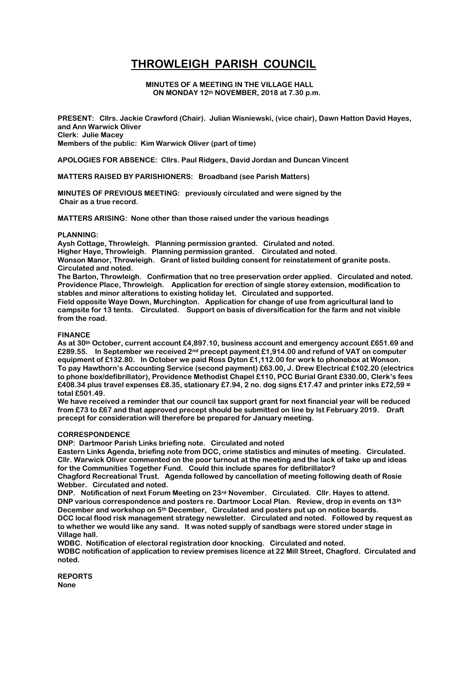# **THROWLEIGH PARISH COUNCIL**

**MINUTES OF A MEETING IN THE VILLAGE HALL ON MONDAY 12th NOVEMBER, 2018 at 7.30 p.m.**

**PRESENT: Cllrs. Jackie Crawford (Chair). Julian Wisniewski, (vice chair), Dawn Hatton David Hayes, and Ann Warwick Oliver Clerk: Julie Macey Members of the public: Kim Warwick Oliver (part of time)**

**APOLOGIES FOR ABSENCE: Cllrs. Paul Ridgers, David Jordan and Duncan Vincent** 

**MATTERS RAISED BY PARISHIONERS: Broadband (see Parish Matters)**

**MINUTES OF PREVIOUS MEETING: previously circulated and were signed by the Chair as a true record.**

**MATTERS ARISING: None other than those raised under the various headings**

## **PLANNING:**

**Aysh Cottage, Throwleigh. Planning permission granted. Cirulated and noted. Higher Haye, Throwleigh. Planning permission granted. Circulated and noted. Wonson Manor, Throwleigh. Grant of listed building consent for reinstatement of granite posts. Circulated and noted.**

**The Barton, Throwleigh. Confirmation that no tree preservation order applied. Circulated and noted. Providence Place, Throwleigh. Application for erection of single storey extension, modification to stables and minor alterations to existing holiday let. Circulated and supported.**

**Field opposite Waye Down, Murchington. Application for change of use from agricultural land to campsite for 13 tents. Circulated. Support on basis of diversification for the farm and not visible from the road.**

## **FINANCE**

**As at 30th October, current account £4,897.10, business account and emergency account £651.69 and £289.55. In September we received 2nd precept payment £1,914.00 and refund of VAT on computer equipment of £132.80. In October we paid Ross Dyton £1,112.00 for work to phonebox at Wonson. To pay Hawthorn's Accounting Service (second payment) £63.00, J. Drew Electrical £102.20 (electrics to phone box/defibrillator), Providence Methodist Chapel £110, PCC Burial Grant £330.00, Clerk's fees £408.34 plus travel expenses £8.35, stationary £7.94, 2 no. dog signs £17.47 and printer inks £72,59 = total £501.49.**

**We have received a reminder that our council tax support grant for next financial year will be reduced from £73 to £67 and that approved precept should be submitted on line by lst February 2019. Draft precept for consideration will therefore be prepared for January meeting.**

#### **CORRESPONDENCE**

**DNP: Dartmoor Parish Links briefing note. Circulated and noted**

**Eastern Links Agenda, briefing note from DCC, crime statistics and minutes of meeting. Circulated. Cllr. Warwick Oliver commented on the poor turnout at the meeting and the lack of take up and ideas for the Communities Together Fund. Could this include spares for defibrillator?**

**Chagford Recreational Trust. Agenda followed by cancellation of meeting following death of Rosie Webber. Circulated and noted.**

**DNP. Notification of next Forum Meeting on 23rd November. Circulated. Cllr. Hayes to attend. DNP various correspondence and posters re. Dartmoor Local Plan. Review, drop in events on 13th December and workshop on 5th December, Circulated and posters put up on notice boards. DCC local flood risk management strategy newsletter. Circulated and noted. Followed by request as to whether we would like any sand. It was noted supply of sandbags were stored under stage in Village hall.**

**WDBC. Notification of electoral registration door knocking. Circulated and noted. WDBC notification of application to review premises licence at 22 Mill Street, Chagford. Circulated and noted.**

**REPORTS None**